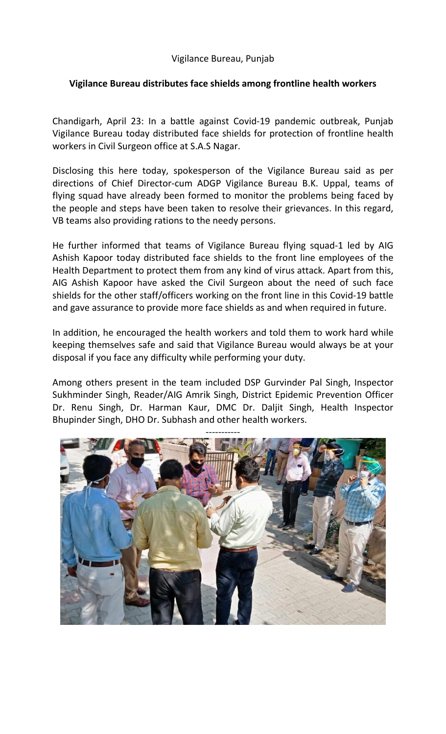## Vigilance Bureau, Punjab

## Vigilance Bureau distributes face shields among frontline health workers

Chandigarh, April 23: In a battle against Covid-19 pandemic outbreak, Punjab Vigilance Bureau today distributed face shields for protection of frontline health workers in Civil Surgeon office at S.A.S Nagar.

Disclosing this here today, spokesperson of the Vigilance Bureau said as per directions of Chief Director-cum ADGP Vigilance Bureau B.K. Uppal, teams of flying squad have already been formed to monitor the problems being faced by the people and steps have been taken to resolve their grievances. In this regard, VB teams also providing rations to the needy persons.

He further informed that teams of Vigilance Bureau flying squad-1 led by AIG Ashish Kapoor today distributed face shields to the front line employees of the Health Department to protect them from any kind of virus attack. Apart from this, AIG Ashish Kapoor have asked the Civil Surgeon about the need of such face shields for the other staff/officers working on the front line in this Covid-19 battle and gave assurance to provide more face shields as and when required in future.

In addition, he encouraged the health workers and told them to work hard while keeping themselves safe and said that Vigilance Bureau would always be at your disposal if you face any difficulty while performing your duty.

Among others present in the team included DSP Gurvinder Pal Singh, Inspector Sukhminder Singh, Reader/AIG Amrik Singh, District Epidemic Prevention Officer Dr. Renu Singh, Dr. Harman Kaur, DMC Dr. Daljit Singh, Health Inspector Bhupinder Singh, DHO Dr. Subhash and other health workers.